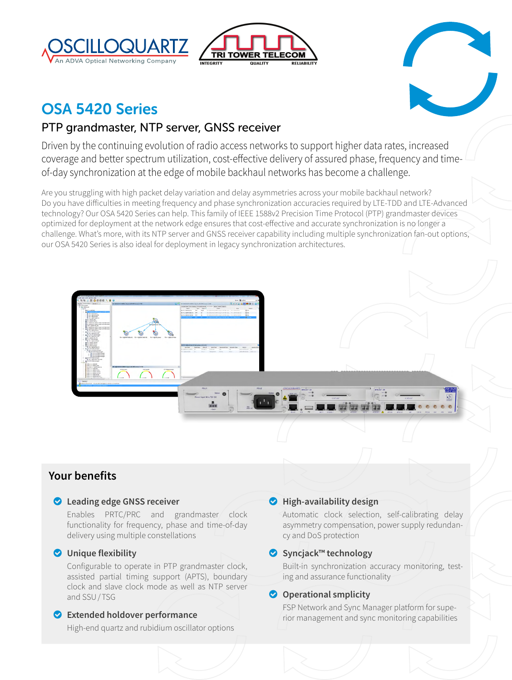





# OSA 5420 Series

## PTP grandmaster, NTP server, GNSS receiver

Driven by the continuing evolution of radio access networks to support higher data rates, increased coverage and better spectrum utilization, cost-effective delivery of assured phase, frequency and timeof-day synchronization at the edge of mobile backhaul networks has become a challenge.

Are you struggling with high packet delay variation and delay asymmetries across your mobile backhaul network? Do you have difficulties in meeting frequency and phase synchronization accuracies required by LTE-TDD and LTE-Advanced technology? Our OSA 5420 Series can help. This family of IEEE 1588v2 Precision Time Protocol (PTP) grandmaster devices optimized for deployment at the network edge ensures that cost-effective and accurate synchronization is no longer a challenge. What's more, with its NTP server and GNSS receiver capability including multiple synchronization fan-out options, our OSA 5420 Series is also ideal for deployment in legacy synchronization architectures.

## **Your benefits**

o **Leading edge GNSS receiver**

Enables PRTC/PRC and grandmaster clock functionality for frequency, phase and time-of-day delivery using multiple constellations

## o **Unique flexibility**

Configurable to operate in PTP grandmaster clock, assisted partial timing support (APTS), boundary clock and slave clock mode as well as NTP server and SSU/TSG

## o **Extended holdover performance**

High-end quartz and rubidium oscillator options

## o **High-availability design**

Automatic clock selection, self-calibrating delay asymmetry compensation, power supply redundancy and DoS protection

## o **Syncjack™ technology**

Built-in synchronization accuracy monitoring, testing and assurance functionality

## **O** Operational smplicity

FSP Network and Sync Manager platform for superior management and sync monitoring capabilities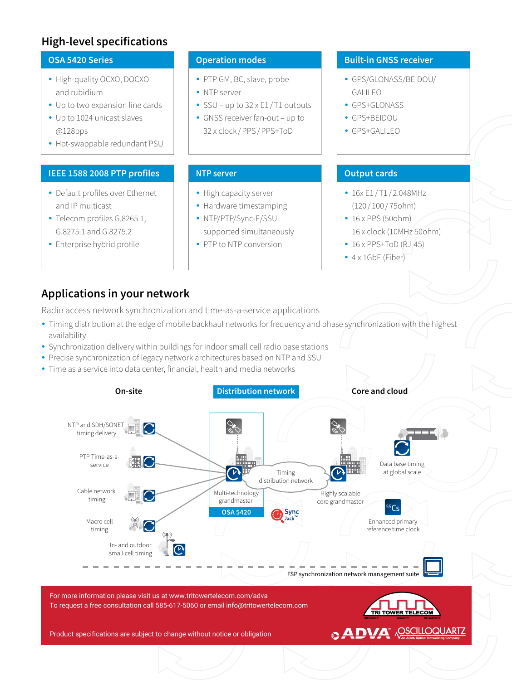## **High-level specifications**

### **OSA 5420 Series**

- High-quality OCXO, DOCXO and rubidium
- Up to two expansion line cards
- Up to 1024 unicast slaves @128pps
- Hot-swappable redundant PSU

#### **IEEE 1588 2008 PTP profiles**

- Default profiles over Ethernet and IP multicast
- Telecom profiles G.8265.1, G.8275.1 and G.8275.2
- Enterprise hybrid profile

### **Operation modes**

- PTP GM, BC, slave, probe
- NTP server
- SSU up to  $32 \times E1/T1$  outputs
- GNSS receiver fan-out up to 32 x clock /PPS/PPS+ToD

#### **NTP server**

- High capacity server
- Hardware timestamping
- NTP/PTP/Sync-E/SSU supported simultaneously • PTP to NTP conversion

### **Built-in GNSS receiver**

- y GPS/GLONASS/BEIDOU/ GALILEO
- GPS+GLONASS
- GPS+BEIDOU
- GPS+GALILEO

## **Output cards**

- $\cdot$  16x E1/T1/2.048MHz (120 / 100 / 75ohm)
- $\cdot$  16 x PPS (50ohm) 16 x clock (10MHz 50ohm)
- $\cdot$  16 x PPS+ToD (RJ-45)
- $\bullet$  4 x 1GbE (Fiber)

## **Applications in your network**

Radio access network synchronization and time-as-a-service applications

- Timing distribution at the edge of mobile backhaul networks for frequency and phase synchronization with the highest availability
- Synchronization delivery within buildings for indoor small cell radio base stations
- Precise synchronization of legacy network architectures based on NTP and SSU
- Time as a service into data center, financial, health and media networks



For more information please visit us at www.tritowertelecom.com/adva To request a free consultation call 585-617-5060 or email info@tritowertelecom.com



**DVA ADVA ACCOUNTER** 

Product specifications are subject to change without notice or obligation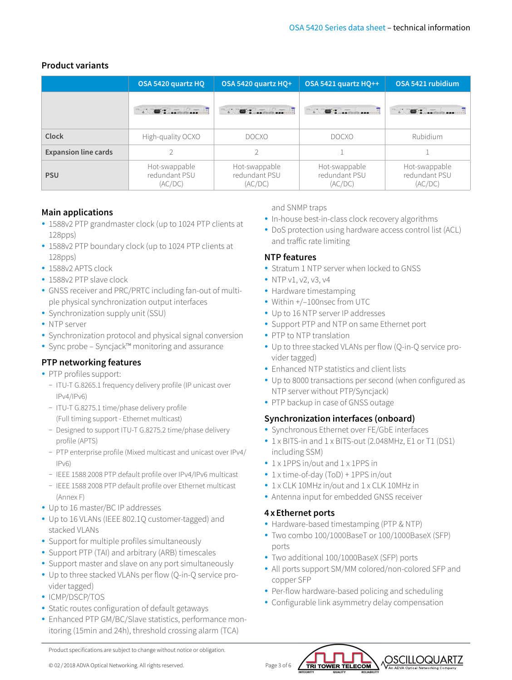## **Product variants**

|                             | OSA 5420 quartz HO                        | OSA 5420 quartz HO+                       | <b>OSA 5421 quartz HO++</b>               | OSA 5421 rubidium                         |
|-----------------------------|-------------------------------------------|-------------------------------------------|-------------------------------------------|-------------------------------------------|
|                             |                                           |                                           |                                           |                                           |
| Clock                       | High-quality OCXO                         | <b>DOCXO</b>                              | <b>DOCXO</b>                              | Rubidium                                  |
| <b>Expansion line cards</b> |                                           |                                           |                                           |                                           |
| <b>PSU</b>                  | Hot-swappable<br>redundant PSU<br>(AC/DC) | Hot-swappable<br>redundant PSU<br>(AC/DC) | Hot-swappable<br>redundant PSU<br>(AC/DC) | Hot-swappable<br>redundant PSU<br>(AC/DC) |

## **Main applications**

- 1588v2 PTP grandmaster clock (up to 1024 PTP clients at 128pps)
- 1588v2 PTP boundary clock (up to 1024 PTP clients at 128pps)
- 1588v2 APTS clock
- 1588v2 PTP slave clock
- GNSS receiver and PRC/PRTC including fan-out of multiple physical synchronization output interfaces
- Synchronization supply unit (SSU)
- NTP server
- Synchronization protocol and physical signal conversion
- Sync probe Syncjack™ monitoring and assurance

## **PTP networking features**

- PTP profiles support:
	- − ITU-T G.8265.1 frequency delivery profile (IP unicast over IPv4/IPv6)
	- − ITU-T G.8275.1 time/phase delivery profile (Full timing support - Ethernet multicast)
	- − Designed to support ITU-T G.8275.2 time/phase delivery profile (APTS)
	- − PTP enterprise profile (Mixed multicast and unicast over IPv4/ IPv6)
	- − IEEE 1588 2008 PTP default profile over IPv4/IPv6 multicast
	- − IEEE 1588 2008 PTP default profile over Ethernet multicast (Annex F)
- Up to 16 master/BC IP addresses
- Up to 16 VLANs (IEEE 802.1Q customer-tagged) and stacked VLANs
- Support for multiple profiles simultaneously
- Support PTP (TAI) and arbitrary (ARB) timescales
- Support master and slave on any port simultaneously
- Up to three stacked VLANs per flow (Q-in-Q service provider tagged)
- ICMP/DSCP/TOS
- Static routes configuration of default getaways
- Enhanced PTP GM/BC/Slave statistics, performance monitoring (15min and 24h), threshold crossing alarm (TCA)

and SNMP traps

- In-house best-in-class clock recovery algorithms
- DoS protection using hardware access control list (ACL) and traffic rate limiting

## **NTP features**

- Stratum 1 NTP server when locked to GNSS
- NTP v1, v2, v3, v4
- Hardware timestamping
- Within +/-100nsec from UTC
- Up to 16 NTP server IP addresses
- Support PTP and NTP on same Ethernet port
- PTP to NTP translation
- Up to three stacked VLANs per flow (Q-in-Q service provider tagged)
- Enhanced NTP statistics and client lists
- Up to 8000 transactions per second (when configured as NTP server without PTP/Syncjack)
- PTP backup in case of GNSS outage

## **Synchronization interfaces (onboard)**

- Synchronous Ethernet over FE/GbE interfaces
- y 1 x BITS-in and 1 x BITS-out (2.048MHz, E1 or T1 (DS1) including SSM)
- 1 x 1PPS in/out and 1 x 1PPS in
- 1 x time-of-day (ToD) + 1PPS in/out
- 1 x CLK 10MHz in/out and 1 x CLK 10MHz in
- Antenna input for embedded GNSS receiver

## **4xEthernet ports**

- Hardware-based timestamping (PTP & NTP)
- Two combo 100/1000BaseT or 100/1000BaseX (SFP) ports
- Two additional 100/1000BaseX (SFP) ports

TRI TOWER TELECOM

- All ports support SM/MM colored/non-colored SFP and copper SFP
- Per-flow hardware-based policing and scheduling
- Configurable link asymmetry delay compensation

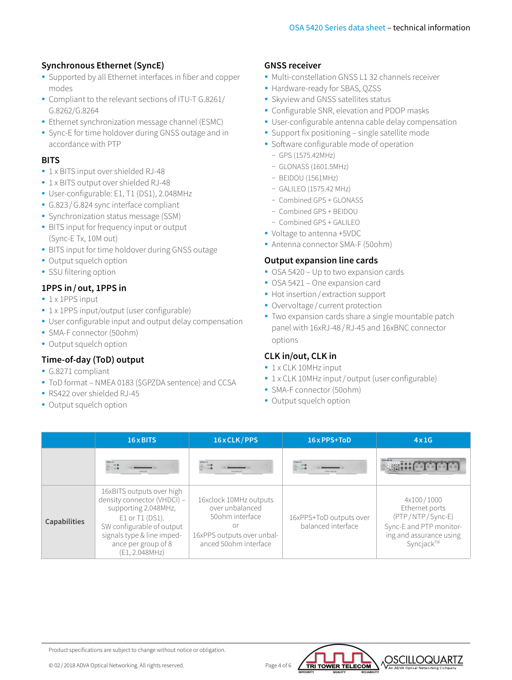## **Synchronous Ethernet (SyncE)**

- Supported by all Ethernet interfaces in fiber and copper modes
- Compliant to the relevant sections of ITU-T G.8261/ G.8262/G.8264
- Ethernet synchronization message channel (ESMC)
- Sync-E for time holdover during GNSS outage and in accordance with PTP

## **BITS**

- 1 x BITS input over shielded RJ-48
- 1 x BITS output over shielded RJ-48
- User-configurable: E1, T1 (DS1), 2.048MHz
- G.823 / G.824 sync interface compliant
- Synchronization status message (SSM)
- BITS input for frequency input or output (Sync-E Tx, 10M out)
- BITS input for time holdover during GNSS outage
- Output squelch option
- SSU filtering option

## **1PPS in/out, 1PPS in**

- $\cdot$  1 x 1PPS input
- 1 x 1PPS input/output (user configurable)
- User configurable input and output delay compensation
- SMA-F connector (50ohm)
- Output squelch option

## **Time-of-day (ToD) output**

- G.8271 compliant
- ToD format NMEA 0183 (\$GPZDA sentence) and CCSA
- RS422 over shielded RJ-45
- Output squelch option

## **GNSS receiver**

- Multi-constellation GNSS L1 32 channels receiver
- Hardware-ready for SBAS, QZSS
- Skyview and GNSS satellites status
- Configurable SNR, elevation and PDOP masks
- User-configurable antenna cable delay compensation
- Support fix positioning single satellite mode
- Software configurable mode of operation
	- − GPS (1575.42MHz)
	- − GLONASS (1601.5MHz)
	- − BEIDOU (1561MHz)
	- − GALILEO (1575.42 MHz)
	- − Combined GPS + GLONASS
	- − Combined GPS + BEIDOU
	- − Combined GPS + GALILEO
- Voltage to antenna +5VDC
- Antenna connector SMA-F (50ohm)

## **Output expansion line cards**

- OSA 5420 Up to two expansion cards
- OSA 5421 One expansion card
- Hot insertion / extraction support
- Overvoltage / current protection
- Two expansion cards share a single mountable patch panel with 16xRJ-48 /RJ-45 and 16xBNC connector options

### **CLK in/out, CLK in**

- 1 x CLK 10MHz input
- 1 x CLK 10MHz input/output (user configurable)
- SMA-F connector (50ohm)
- Output squelch option

|                     | 16 x BITS                                                                                                                                                                                               | 16 x CLK / PPS                                                                                                            | 16 x PPS+ToD                                  | 4x1G                                                                                                                |
|---------------------|---------------------------------------------------------------------------------------------------------------------------------------------------------------------------------------------------------|---------------------------------------------------------------------------------------------------------------------------|-----------------------------------------------|---------------------------------------------------------------------------------------------------------------------|
|                     |                                                                                                                                                                                                         |                                                                                                                           |                                               | $\circ$ $\cdots$ in the $\ddot{\circ}$                                                                              |
| <b>Capabilities</b> | 16xBITS outputs over high<br>density connector (VHDCI) -<br>supporting 2.048MHz,<br>E1 or T1 (DS1).<br>SW configurable of output<br>signals type & line imped-<br>ance per group of 8<br>(E1, 2.048MHz) | 16xclock 10MHz outputs<br>over unbalanced<br>50ohm interface<br>or<br>16xPPS outputs over unbal-<br>anced 50ohm interface | 16xPPS+ToD outputs over<br>balanced interface | 4x100/1000<br>Ethernet ports<br>(PTP/NTP/Sync-E)<br>Sync-E and PTP monitor-<br>ing and assurance using<br>Syncjack™ |

Product specifications are subject to change without notice or obligation.

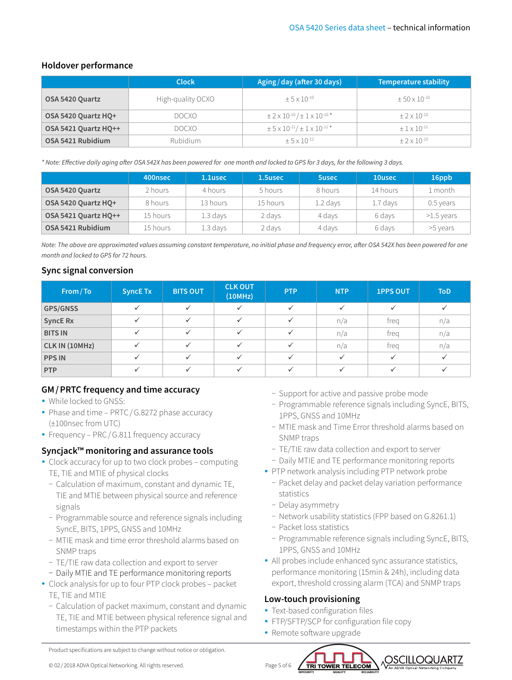## **Holdover performance**

|                      | <b>Clock</b>      | Aging/day (after 30 days)                                              | <b>Temperature stability</b> |  |  |
|----------------------|-------------------|------------------------------------------------------------------------|------------------------------|--|--|
| OSA 5420 Quartz      | High-quality OCXO | $+5 \times 10^{-10}$                                                   | $+50 \times 10^{-10}$        |  |  |
| OSA 5420 Quartz HQ+  | DOCXO.            | $\pm$ 2 x 10 <sup>-10</sup> / $\pm$ 1 x 10 <sup>-10</sup> *            | $+2 \times 10^{-10}$         |  |  |
| OSA 5421 Quartz HQ++ | <b>DOCXO</b>      | $\pm$ 5 x 10 <sup>-11</sup> / $\pm$ 1 x 10 <sup>-11</sup> <sup>*</sup> | $+1 \times 10^{-11}$         |  |  |
| OSA 5421 Rubidium    | <b>Rubidium</b>   | $+5 \times 10^{-12}$                                                   | $+2 \times 10^{-10}$         |  |  |

*\* Note: Effective daily aging after OSA 542X has been powered for one month and locked to GPS for 3 days, for the following 3 days.*

|                      | 400nsec  | 1.1usec  | 1.5usec  | <b>5usec</b> | 10usec   | 16ppb        |
|----------------------|----------|----------|----------|--------------|----------|--------------|
| OSA 5420 Quartz      | 2 hours  | 4 hours  | 5 hours  | 8 hours      | 14 hours | 1 month      |
| OSA 5420 Quartz HO+  | 8 hours  | 13 hours | 15 hours | $1.2$ days   | 1.7 days | $0.5$ years  |
| OSA 5421 Quartz HO++ | 15 hours | 1.3 days | 2 days   | 4 days       | 6 days   | $>1.5$ years |
| OSA 5421 Rubidium    | 15 hours | 1.3 days | 2 days   | 4 days       | 6 days   | >5 years     |

*Note: The above are approximated values assuming constant temperature, no initial phase and frequency error, after OSA 542X has been powered for one month and locked to GPS for 72 hours.* 

## **Sync signal conversion**

| From/To         | <b>SyncE Tx</b> | <b>BITS OUT</b> | <b>CLK OUT</b><br>(10MHz) | <b>PTP</b> | <b>NTP</b>   | <b>1PPS OUT</b> | <b>ToD</b> |
|-----------------|-----------------|-----------------|---------------------------|------------|--------------|-----------------|------------|
| <b>GPS/GNSS</b> | $\checkmark$    |                 | $\checkmark$              |            | $\checkmark$ |                 |            |
| <b>SyncE Rx</b> |                 |                 | $\checkmark$              |            | n/a          | treg            | n/a        |
| <b>BITS IN</b>  | $\checkmark$    |                 |                           |            | n/a          | treg            | n/a        |
| CLK IN (10MHz)  |                 |                 | $\checkmark$              |            | n/a          | trea            | n/a        |
| <b>PPS IN</b>   | ✓               |                 |                           |            | $\checkmark$ |                 |            |
| <b>PTP</b>      |                 |                 |                           |            |              |                 |            |

## **GM/PRTC frequency and time accuracy**

- While locked to GNSS:
- Phase and time PRTC / G.8272 phase accuracy (±100nsec from UTC)
- Frequency PRC / G.811 frequency accuracy

## **Syncjack™ monitoring and assurance tools**

- Clock accuracy for up to two clock probes computing TE, TIE and MTIE of physical clocks
	- − Calculation of maximum, constant and dynamic TE, TIE and MTIE between physical source and reference signals
	- − Programmable source and reference signals including SyncE, BITS, 1PPS, GNSS and 10MHz
	- − MTIE mask and time error threshold alarms based on SNMP traps
	- − TE/TIE raw data collection and export to server
	- − Daily MTIE and TE performance monitoring reports
- Clock analysis for up to four PTP clock probes packet TE, TIE and MTIE
	- − Calculation of packet maximum, constant and dynamic TE, TIE and MTIE between physical reference signal and timestamps within the PTP packets
- − Support for active and passive probe mode
- − Programmable reference signals including SyncE, BITS, 1PPS, GNSS and 10MHz
- − MTIE mask and Time Error threshold alarms based on SNMP traps
- − TE/TIE raw data collection and export to server
- − Daily MTIE and TE performance monitoring reports
- PTP network analysis including PTP network probe
	- − Packet delay and packet delay variation performance statistics
	- − Delay asymmetry
	- − Network usability statistics (FPP based on G.8261.1)
	- − Packet loss statistics
	- − Programmable reference signals including SyncE, BITS, 1PPS, GNSS and 10MHz

OSCILLOQUARTZ

• All probes include enhanced sync assurance statistics, performance monitoring (15min & 24h), including data export, threshold crossing alarm (TCA) and SNMP traps

### **Low-touch provisioning**

- Text-based configuration files
- FTP/SFTP/SCP for configuration file copy
- Remote software upgrade